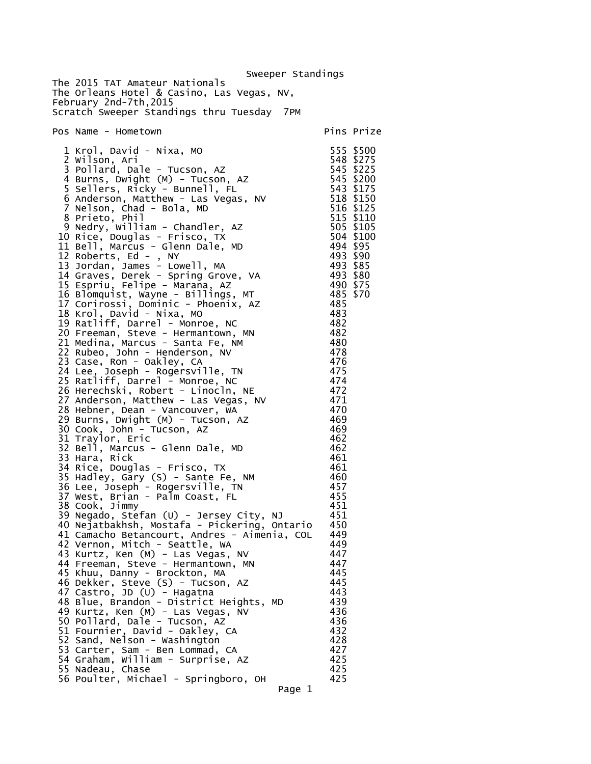Sweeper Standings The 2015 TAT Amateur Nationals The Orleans Hotel & Casino, Las Vegas, NV, February 2nd-7th,2015 Scratch Sweeper Standings thru Tuesday 7PM Pos Name - Hometown entry the primary pins Prize 1 Krol, David - Nixa, MO 555 \$500 2 Wilson, Ari 548 \$275 3 Pollard, Dale - Tucson, AZ 545 \$225 4 Burns, Dwight (M) - Tucson, AZ 545 \$200 5 Sellers, Ricky - Bunnell, FL 543 \$175<br>
6 Anderson, Matthew - Las Vegas, NV 518 \$150<br>
7 Nelson, Chad - Bola, MD 516 \$125 6 Anderson, Matthew - Las Vegas, NV 518 \$150 7 Nelson, Chad - Bola, MD 516 \$125 8 Prieto, Phil 515 \$110 9 Nedry, William - Chandler, AZ 505 \$105 10 Rice, Douglas - Frisco, TX 504 \$100 7 Nelson, Chad - Bola, MD 516 \$125<br>
8 Prieto, Phil<br>
9 Nedry, William - Chandler, AZ 505 \$105<br>
10 Rice, Douglas - Frisco, TX 504 \$100<br>
11 Bell, Marcus - Glenn Dale, MD 494 \$95<br>
12 Roberts, Ed - , NY 493 \$90<br>
13 Jordan, Jame 12 Roberts, Ed - , NY 493 \$90 13 Jordan, James - Lowell, MA 493 \$85 14 Graves, Derek - Spring Grove, VA 493 \$80 15 Espriu, Felipe - Marana, AZ 490 \$75 16 Blomquist, Wayne - Billings, MT 485 \$70 17 Corirossi, Dominic - Phoenix, AZ 485 18 Krol, David - Nixa, MO 483 19 Ratliff, Darrel - Monroe, NC 482<br>20 Freeman, Steve - Hermantown, MN 482 20 Freeman, Steve - Hermantown, MN 482<br>21 Medina, Marcus - Santa Fe, NM 480 21 Medina, Marcus - Santa Fe, NM 480 22 Rubeo, John - Henderson, NV 478 23 Case, Ron - Oakley, CA 476 24 Lee, Joseph - Rogersville, TN 475 25 Ratliff, Darrel - Monroe, NC 474 26 Herechski, Robert - Linocln, NE 472 27 Anderson, Matthew - Las Vegas, NV 471 28 Hebner, Dean - Vancouver, WA 470<br>29 Burns, Dwight (M) - Tucson, AZ 469 29 Burns, Dwight (M) - Tucson, AZ 469<br>30 Cook, John - Tucson, AZ 469 30 Cook, John - Tucson, AZ 469 31 Traylor, Eric 462 32 Bell, Marcus - Glenn Dale, MD 462 33 Hara, Rick 461 34 Rice, Douglas - Frisco, TX 461 35 Hadley, Gary (S) - Sante Fe, NM 460 36 Lee, Joseph - Rogersville, TN 457 37 West, Brian - Palm Coast, FL 455 38 Cook, Jimmy<br>39 Neqado. Stefan (U) - Jersey City, NJ 451 39 Negado, Stefan (U) - Jersey City, NJ 451<br>40 Neiatbakhsh. Mostafa - Pickering. Ontario 450 40 Nejatbakhsh, Mostafa - Pickering, Ontario 450 41 Camacho Betancourt, Andres - Aimenia, COL 449 42 Vernon, Mitch - Seattle, WA 449 43 Kurtz, Ken (M) - Las Vegas, NV 447 44 Freeman, Steve - Hermantown, MN 447<br>45 Khuu. Danny - Brockton. MA 445 45 Khuu, Danny - Brockton, MA 445<br>46 Dekker. Steve (S) - Tucson. AZ 445 46 Dekker, Steve (S) - Tucson, AZ 445<br>47 Castro, JD (U) - Hagatna 443 47 Castro, JD (U) - Hagatna 443 48 Blue, Brandon - District Heights, MD 439 49 Kurtz, Ken (M) - Las Vegas, NV 436 50 Pollard, Dale - Tucson, AZ 436 51 Fournier, David - Oakley, CA 432 52 Sand, Nelson - Washington 428 53 Carter, Sam - Ben Lommad, CA 427 54 Graham, William - Surprise, AZ 425 55 Nadeau, Chase 425 56 Poulter, Michael - Springboro, OH Page 1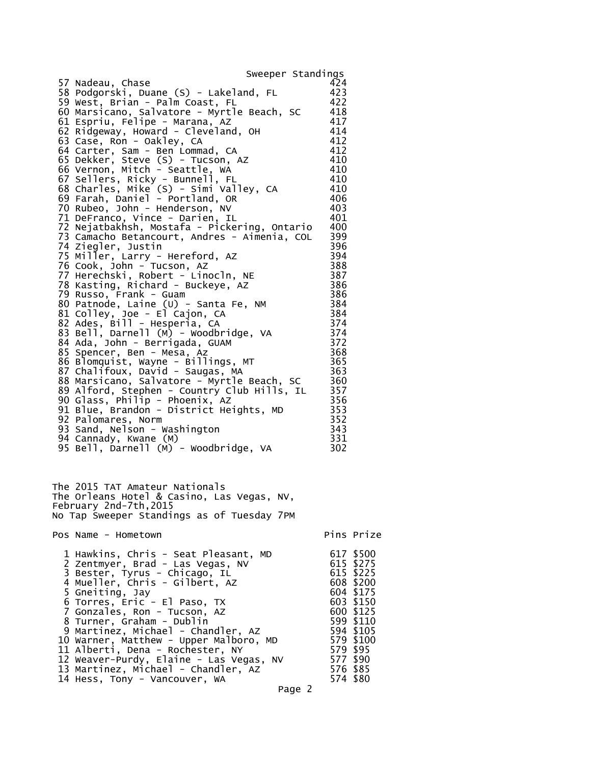| Sweeper Standings                                                                                                                                                                                                                                                                                                                                                                                                                                                                                                                                                                                                                                                                                                                                                                                                                                                                                                                                                                                                                                                                                                                                                                                                                                                                                                                                                                                                                          |                                                                                                                                                                                                                                                                                            |                                                                                                                                                        |
|--------------------------------------------------------------------------------------------------------------------------------------------------------------------------------------------------------------------------------------------------------------------------------------------------------------------------------------------------------------------------------------------------------------------------------------------------------------------------------------------------------------------------------------------------------------------------------------------------------------------------------------------------------------------------------------------------------------------------------------------------------------------------------------------------------------------------------------------------------------------------------------------------------------------------------------------------------------------------------------------------------------------------------------------------------------------------------------------------------------------------------------------------------------------------------------------------------------------------------------------------------------------------------------------------------------------------------------------------------------------------------------------------------------------------------------------|--------------------------------------------------------------------------------------------------------------------------------------------------------------------------------------------------------------------------------------------------------------------------------------------|--------------------------------------------------------------------------------------------------------------------------------------------------------|
| 57 Nadeau, Chase<br>58 Podgorski, Duane (S) - Lakeland, FL<br>59 West, Brian - Palm Coast, FL<br>60 Marsicano, Salvatore - Myrtle Beach, SC<br>61 Espriu, Felipe - Marana, AZ<br>62 Ridgeway, Howard - Cleveland, OH<br>63 Case, Ron - Oakley, CA<br>64 Carter, Sam - Ben Lommad, CA<br>65 Dekker, Steve (S) - Tucson, AZ<br>66 Vernon, Mitch - Seattle, WA<br>67 Sellers, Ricky - Bunnell, FL<br>68 Charles, Mike (S) - Simi Valley, CA<br>69 Farah, Daniel - Portland, OR<br>70 Rubeo, John - Henderson, NV<br>71 DeFranco, Vince - Darien, IL<br>72 Nejatbakhsh, Mostafa - Pickering, Ontario<br>73 Camacho Betancourt, Andres - Aimenia, COL<br>74 Ziegler, Justin<br>75 Miller, Larry - Hereford, AZ<br>76 Cook, John - Tucson, AZ<br>77 Herechski, Robert - Linocln, NE<br>78 Kasting, Richard - Buckeye, AZ<br>79 Russo, Frank - Guam<br>80 Patnode, Laine (U) - Santa Fe, NM<br>81 Colley, Joe - El Cajon, CA<br>82 Ades, Bill - Hesperia, CA<br>83 Bell, Darnell (M) - Woodbridge, VA<br>84 Ada, John - Berrigada, GUAM<br>85 Spencer, Ben - Mesa, Az<br>86 Blomquist, Wayne - Billings, MT<br>87 Chalifoux, David - Saugas, MA<br>88 Marsicano, Salvatore - Myrtle Beach, SC<br>89 Alford, Stephen - Country Club Hills, IL<br>90 Glass, Philip - Phoenix, AZ<br>91 Blue, Brandon - District Heights, MD<br>92 Palomares, Norm<br>93 Sand, Nelson - Washington<br>94 Cannady, Kwane (M)<br>95 Bell, Darnell (M) - Woodbridge, VA | 424<br>423<br>422<br>418<br>417<br>414<br>412<br>412<br>410<br>410<br>410<br>410<br>406<br>403<br>401<br>400<br>399<br>396<br>394<br>388<br>387<br>386<br>386<br>384<br>$\frac{384}{74}$<br>374<br>374<br>372<br>368<br>365<br>363<br>360<br>357<br>356<br>353<br>352<br>343<br>331<br>302 |                                                                                                                                                        |
| The 2015 TAT Amateur Nationals<br>The Orleans Hotel & Casino, Las Vegas, NV,<br>February 2nd-7th,2015<br>No Tap Sweeper Standings as of Tuesday 7PM                                                                                                                                                                                                                                                                                                                                                                                                                                                                                                                                                                                                                                                                                                                                                                                                                                                                                                                                                                                                                                                                                                                                                                                                                                                                                        |                                                                                                                                                                                                                                                                                            |                                                                                                                                                        |
| Pos Name - Hometown                                                                                                                                                                                                                                                                                                                                                                                                                                                                                                                                                                                                                                                                                                                                                                                                                                                                                                                                                                                                                                                                                                                                                                                                                                                                                                                                                                                                                        |                                                                                                                                                                                                                                                                                            | Pins Prize                                                                                                                                             |
| 1 Hawkins, Chris - Seat Pleasant, MD<br>2 Zentmyer, Brad - Las Vegas, NV<br>3 Bester, Tyrus - Chicago, IL<br>4 Mueller, Chris - Gilbert, AZ<br>5 Gneiting, Jay<br>6 Torres, Eric - El Paso, TX<br>7 Gonzales, Ron - Tucson, AZ<br>8 Turner, Graham - Dublin<br>9 Martinez, Michael - Chandler, AZ<br>10 Warner, Matthew - Upper Malboro, MD<br>11 Alberti, Dena - Rochester, NY<br>12 Weaver-Purdy, Elaine - Las Vegas, NV                                                                                                                                                                                                                                                                                                                                                                                                                                                                                                                                                                                                                                                                                                                                                                                                                                                                                                                                                                                                                 |                                                                                                                                                                                                                                                                                            | 617 \$500<br>615 \$275<br>615 \$225<br>608 \$200<br>604 \$175<br>603 \$150<br>600 \$125<br>599 \$110<br>594 \$105<br>579 \$100<br>579 \$95<br>577 \$90 |

 13 Martinez, Michael - Chandler, AZ 576 \$85 14 Hess, Tony - Vancouver, WA 574 \$80

Page 2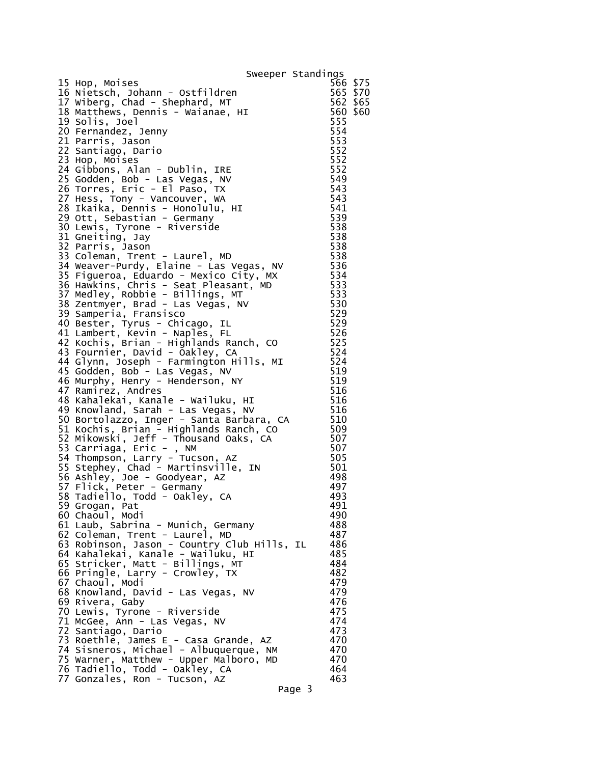|                                                                                   | Sweeper Standings |
|-----------------------------------------------------------------------------------|-------------------|
| 15 Hop, Moises                                                                    | 566 \$75          |
| 16 Nietsch, Johann - Ostfildren                                                   | 565 \$70          |
| 17 Wiberg, Chad - Shephard, MT                                                    | 562 \$65          |
| 18 Matthews, Dennis - Waianae, HI                                                 | 560 \$60          |
| 19 Solis, Joel                                                                    | 555               |
| 20 Fernandez, Jenny                                                               | 554               |
| 21 Parris, Jason                                                                  | 553               |
| 22 Santiago, Dario                                                                | 552<br>552        |
| 23 Hop, Moises<br>24 Gibbons, Alan - Dublin, IRE                                  | 552               |
| 25 Godden, Bob - Las Vegas, NV                                                    | 549               |
| 26 Torres, Eric - El Paso, TX                                                     | 543               |
| 27 Hess, Tony - Vancouver, WA                                                     | 543               |
| 28 Ikaika, Dennis - Honolulu, HI                                                  | 541               |
| 29 Ott, Sebastian - Germany                                                       | 539               |
| 30 Lewis, Tyrone - Riverside                                                      | 538               |
| 31 Gneiting, Jay<br>32 Parris, Jason                                              | 538<br>538        |
| 33 Coleman, Trent - Laurel, MD                                                    | 538               |
| 34 Weaver-Purdy, Elaine - Las Vegas, NV                                           | 536               |
| 35 Figueroa, Eduardo - Mexico City, MX                                            | 534               |
| 36 Hawkins, Chris - Seat Pleasant, MD                                             | 533               |
| 37 Medley, Robbie - Billings, MT                                                  | 533               |
| 38 Zentmyer, Brad - Las Vegas, NV                                                 | 530               |
| 39 Samperia, Fransisco                                                            | 529               |
| 40 Bester, Tyrus - Chicago, IL                                                    | 529<br>526        |
| 41 Lambert, Kevin - Naples, FL<br>42 Kochis, Brian - Highlands Ranch, CO          | 525               |
| 43 Fournier, David - Oakley, CA                                                   | 524               |
| 44 Glynn, Joseph - Farmington Hills, MI                                           | 524               |
| 45 Godden, Bob - Las Vegas, NV                                                    | 519               |
| 46 Murphy, Henry - Henderson, NY                                                  | 519               |
| 47 Ramirez, Andres                                                                | 516               |
| 48 Kahalekai, Kanale - Wailuku, HI<br>49 Knowland, Sarah - Las Vegas, NV          | 516<br>516        |
| 50 Bortolazzo, Inger - Santa Barbara, CA                                          | 510               |
|                                                                                   | 509               |
| 51 Kochis, Bri̇́an - Highlands Ranch, CO<br>52 Mikowski, Jeff - Thousand Oaks, CA | 507               |
| 53 Carriaga, Eric - , NM                                                          | 507               |
| 54 Thompson, Larry - Tucson, AZ                                                   | 505               |
| 55 Stephey, Chad - Martinsville, IN                                               | 501               |
| 56 Ashley, Joe - Goodyear, AZ<br>57 Flick, Peter - Germany                        | 498<br>497        |
| 58 Tadiello, Todd - Oakley, CA                                                    | 493               |
| 59 Grogan, Pat                                                                    | 491               |
| 60 Chaoul, Modi                                                                   | 490               |
| 61 Laub, Sabrina - Munich, Germany                                                | 488               |
| 62 Coleman, Trent - Laurel, MD                                                    | 487               |
| 63 Robinson, Jason - Country Club Hills, IL<br>64 Kahalekai, Kanale - Wailuku, HI | 486               |
| 65 Stricker, Matt - Billings, MT                                                  | 485<br>484        |
| 66 Pringle, Larry - Crowley, TX                                                   | 482               |
| 67 Chaoul, Modi                                                                   | 479               |
| 68 Knowland, David - Las Vegas, NV                                                | 479               |
| 69 Rivera, Gaby                                                                   | 476               |
| 70 Lewis, Tyrone - Riverside                                                      | 475               |
| 71 McGee, Ann - Las Vegas, NV                                                     | 474               |
| 72 Santiago, Dario<br>73 Roethle, James E - Casa Grande, AZ                       | 473<br>470        |
| 74 Sisneros, Michael - Albuquerque, NM                                            | 470               |
| 75 Warner, Matthew - Upper Malboro, MD                                            | 470               |
| 76 Tadiello, Todd - Oakley, CA                                                    | 464               |
| 77 Gonzales, Ron - Tucson, AZ                                                     | 463               |